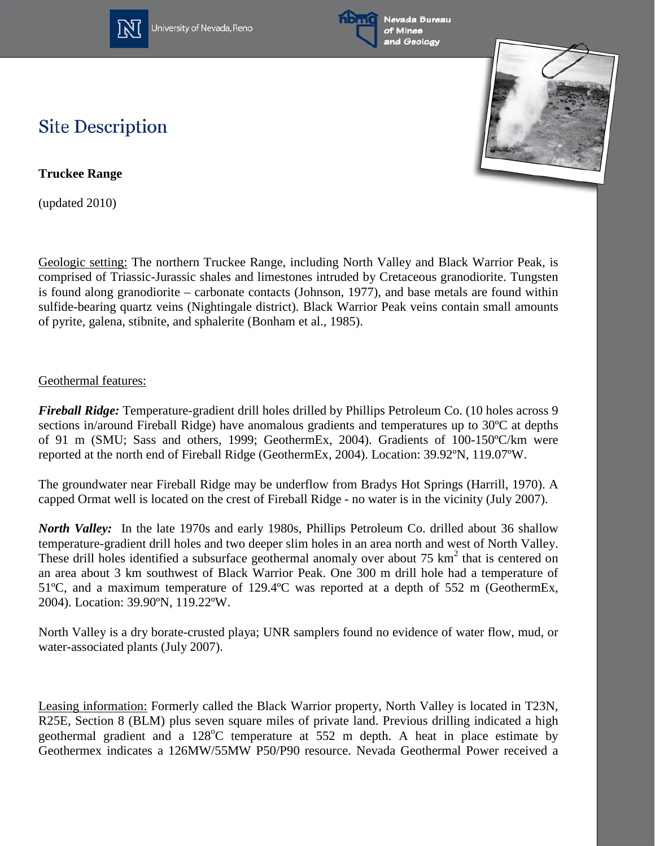

University of Nevada, Reno





## **Site Description**

**Truckee Range**

(updated 2010)

Geologic setting: The northern Truckee Range, including North Valley and Black Warrior Peak, is comprised of Triassic-Jurassic shales and limestones intruded by Cretaceous granodiorite. Tungsten is found along granodiorite – carbonate contacts (Johnson, 1977), and base metals are found within sulfide-bearing quartz veins (Nightingale district). Black Warrior Peak veins contain small amounts of pyrite, galena, stibnite, and sphalerite (Bonham et al., 1985).

## Geothermal features:

*Fireball Ridge:* Temperature-gradient drill holes drilled by Phillips Petroleum Co. (10 holes across 9 sections in/around Fireball Ridge) have anomalous gradients and temperatures up to 30ºC at depths of 91 m (SMU; Sass and others, 1999; GeothermEx, 2004). Gradients of 100-150ºC/km were reported at the north end of Fireball Ridge (GeothermEx, 2004). Location: 39.92ºN, 119.07ºW.

The groundwater near Fireball Ridge may be underflow from Bradys Hot Springs (Harrill, 1970). A capped Ormat well is located on the crest of Fireball Ridge - no water is in the vicinity (July 2007).

*North Valley:* In the late 1970s and early 1980s, Phillips Petroleum Co. drilled about 36 shallow temperature-gradient drill holes and two deeper slim holes in an area north and west of North Valley. These drill holes identified a subsurface geothermal anomaly over about 75  $km<sup>2</sup>$  that is centered on an area about 3 km southwest of Black Warrior Peak. One 300 m drill hole had a temperature of 51ºC, and a maximum temperature of 129.4ºC was reported at a depth of 552 m (GeothermEx, 2004). Location: 39.90ºN, 119.22ºW.

North Valley is a dry borate-crusted playa; UNR samplers found no evidence of water flow, mud, or water-associated plants (July 2007).

Leasing information: Formerly called the Black Warrior property, North Valley is located in T23N, R25E, Section 8 (BLM) plus seven square miles of private land. Previous drilling indicated a high geothermal gradient and a 128°C temperature at 552 m depth. A heat in place estimate by Geothermex indicates a 126MW/55MW P50/P90 resource. Nevada Geothermal Power received a